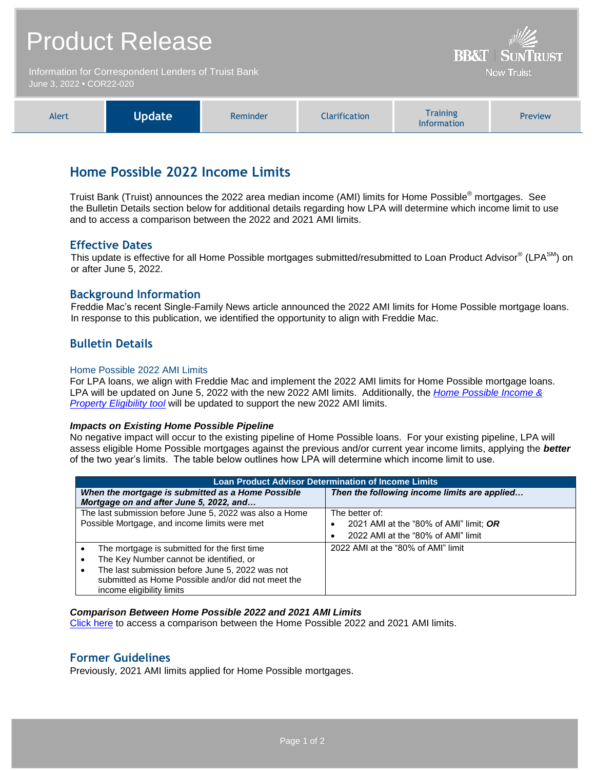|                                                                                  | <b>Product Release</b> | <b>BB&amp;T   SUNTRUST</b> |                      |                                                                                               |         |
|----------------------------------------------------------------------------------|------------------------|----------------------------|----------------------|-----------------------------------------------------------------------------------------------|---------|
| Information for Correspondent Lenders of Truist Bank<br>June 3, 2022 • COR22-020 |                        |                            |                      | <b>Now Truist</b>                                                                             |         |
| Alert                                                                            | <b>Update</b>          | Reminder                   | <b>Clarification</b> | <b>Training</b><br>$\mathbf{1}$ and $\mathbf{1}$ are also as a set of the set of $\mathbf{1}$ | Preview |

# **Home Possible 2022 Income Limits**

Truist Bank (Truist) announces the 2022 area median income (AMI) limits for Home Possible® mortgages. See the Bulletin Details section below for additional details regarding how LPA will determine which income limit to use and to access a comparison between the 2022 and 2021 AMI limits.

Information

### **Effective Dates**

This update is effective for all Home Possible mortgages submitted/resubmitted to Loan Product Advisor® (LPA $^{SM}$ ) on or after June 5, 2022.

### **Background Information**

Freddie Mac's recent Single-Family News article announced the 2022 AMI limits for Home Possible mortgage loans. In response to this publication, we identified the opportunity to align with Freddie Mac.

### **Bulletin Details**

#### Home Possible 2022 AMI Limits

For LPA loans, we align with Freddie Mac and implement the 2022 AMI limits for Home Possible mortgage loans. LPA will be updated on June 5, 2022 with the new 2022 AMI limits. Additionally, the *[Home Possible Income &](https://sf.freddiemac.com/working-with-us/affordable-lending/home-possible-eligibility-map)  [Property Eligibility tool](https://sf.freddiemac.com/working-with-us/affordable-lending/home-possible-eligibility-map)* will be updated to support the new 2022 AMI limits.

#### *Impacts on Existing Home Possible Pipeline*

No negative impact will occur to the existing pipeline of Home Possible loans. For your existing pipeline, LPA will assess eligible Home Possible mortgages against the previous and/or current year income limits, applying the *better* of the two year's limits. The table below outlines how LPA will determine which income limit to use.

| <b>Loan Product Advisor Determination of Income Limits</b>   |                                              |  |  |  |
|--------------------------------------------------------------|----------------------------------------------|--|--|--|
| When the mortgage is submitted as a Home Possible            | Then the following income limits are applied |  |  |  |
| Mortgage on and after June 5, 2022, and                      |                                              |  |  |  |
| The last submission before June 5, 2022 was also a Home      | The better of:                               |  |  |  |
| Possible Mortgage, and income limits were met                | 2021 AMI at the "80% of AMI" limit; OR       |  |  |  |
|                                                              | 2022 AMI at the "80% of AMI" limit           |  |  |  |
| The mortgage is submitted for the first time<br>٠            | 2022 AMI at the "80% of AMI" limit           |  |  |  |
| The Key Number cannot be identified, or<br>$\bullet$         |                                              |  |  |  |
| The last submission before June 5, 2022 was not<br>$\bullet$ |                                              |  |  |  |
| submitted as Home Possible and/or did not meet the           |                                              |  |  |  |
| income eligibility limits                                    |                                              |  |  |  |

#### *Comparison Between Home Possible 2022 and 2021 AMI Limits*

[Click here](https://www.truistsellerguide.com/manual/cor/products/Home_Possible-2021-2022-ami-comparison.xlsx) to access a comparison between the Home Possible 2022 and 2021 AMI limits.

### **Former Guidelines**

Previously, 2021 AMI limits applied for Home Possible mortgages.